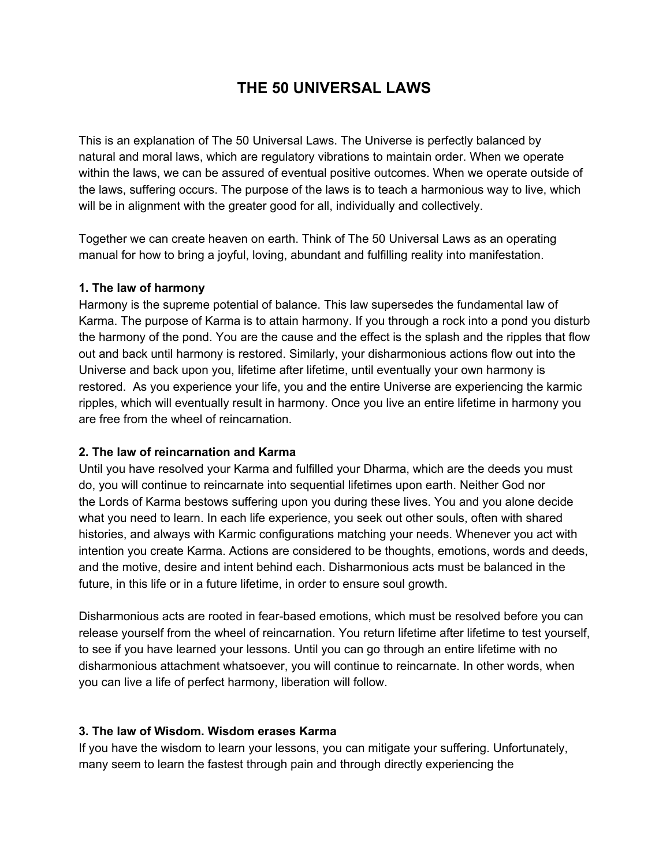# **THE 50 UNIVERSAL LAWS**

This is an explanation of The 50 Universal Laws. The Universe is perfectly balanced by natural and moral laws, which are regulatory vibrations to maintain order. When we operate within the laws, we can be assured of eventual positive outcomes. When we operate outside of the laws, suffering occurs. The purpose of the laws is to teach a harmonious way to live, which will be in alignment with the greater good for all, individually and collectively.

Together we can create heaven on earth. Think of The 50 Universal Laws as an operating manual for how to bring a joyful, loving, abundant and fulfilling reality into manifestation.

#### **1. The law of harmony**

Harmony is the supreme potential of balance. This law supersedes the fundamental law of Karma. The purpose of Karma is to attain harmony. If you through a rock into a pond you disturb the harmony of the pond. You are the cause and the effect is the splash and the ripples that flow out and back until harmony is restored. Similarly, your disharmonious actions flow out into the Universe and back upon you, lifetime after lifetime, until eventually your own harmony is restored. As you experience your life, you and the entire Universe are experiencing the karmic ripples, which will eventually result in harmony. Once you live an entire lifetime in harmony you are free from the wheel of reincarnation.

#### **2. The law of reincarnation and Karma**

Until you have resolved your Karma and fulfilled your Dharma, which are the deeds you must do, you will continue to reincarnate into sequential lifetimes upon earth. Neither God nor the Lords of Karma bestows suffering upon you during these lives. You and you alone decide what you need to learn. In each life experience, you seek out other souls, often with shared histories, and always with Karmic configurations matching your needs. Whenever you act with intention you create Karma. Actions are considered to be thoughts, emotions, words and deeds, and the motive, desire and intent behind each. Disharmonious acts must be balanced in the future, in this life or in a future lifetime, in order to ensure soul growth.

Disharmonious acts are rooted in fear-based emotions, which must be resolved before you can release yourself from the wheel of reincarnation. You return lifetime after lifetime to test yourself, to see if you have learned your lessons. Until you can go through an entire lifetime with no disharmonious attachment whatsoever, you will continue to reincarnate. In other words, when you can live a life of perfect harmony, liberation will follow.

#### **3. The law of Wisdom. Wisdom erases Karma**

If you have the wisdom to learn your lessons, you can mitigate your suffering. Unfortunately, many seem to learn the fastest through pain and through directly experiencing the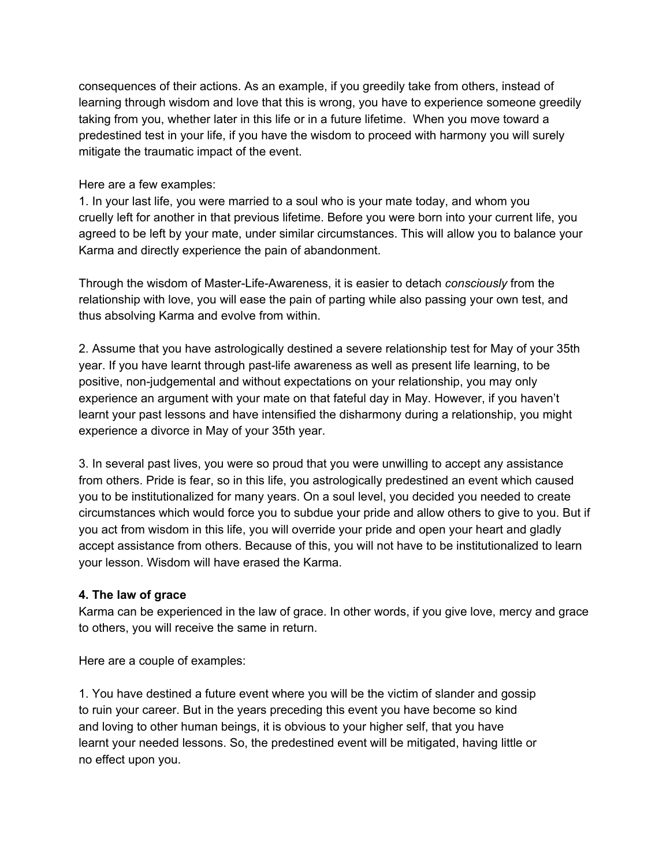consequences of their actions. As an example, if you greedily take from others, instead of learning through wisdom and love that this is wrong, you have to experience someone greedily taking from you, whether later in this life or in a future lifetime. When you move toward a predestined test in your life, if you have the wisdom to proceed with harmony you will surely mitigate the traumatic impact of the event.

#### Here are a few examples:

1. In your last life, you were married to a soul who is your mate today, and whom you cruelly left for another in that previous lifetime. Before you were born into your current life, you agreed to be left by your mate, under similar circumstances. This will allow you to balance your Karma and directly experience the pain of abandonment.

Through the wisdom of Master-Life-Awareness, it is easier to detach *consciously* from the relationship with love, you will ease the pain of parting while also passing your own test, and thus absolving Karma and evolve from within.

2. Assume that you have astrologically destined a severe relationship test for May of your 35th year. If you have learnt through past-life awareness as well as present life learning, to be positive, non-judgemental and without expectations on your relationship, you may only experience an argument with your mate on that fateful day in May. However, if you haven't learnt your past lessons and have intensified the disharmony during a relationship, you might experience a divorce in May of your 35th year.

3. In several past lives, you were so proud that you were unwilling to accept any assistance from others. Pride is fear, so in this life, you astrologically predestined an event which caused you to be institutionalized for many years. On a soul level, you decided you needed to create circumstances which would force you to subdue your pride and allow others to give to you. But if you act from wisdom in this life, you will override your pride and open your heart and gladly accept assistance from others. Because of this, you will not have to be institutionalized to learn your lesson. Wisdom will have erased the Karma.

### **4. The law of grace**

Karma can be experienced in the law of grace. In other words, if you give love, mercy and grace to others, you will receive the same in return.

Here are a couple of examples:

1. You have destined a future event where you will be the victim of slander and gossip to ruin your career. But in the years preceding this event you have become so kind and loving to other human beings, it is obvious to your higher self, that you have learnt your needed lessons. So, the predestined event will be mitigated, having little or no effect upon you.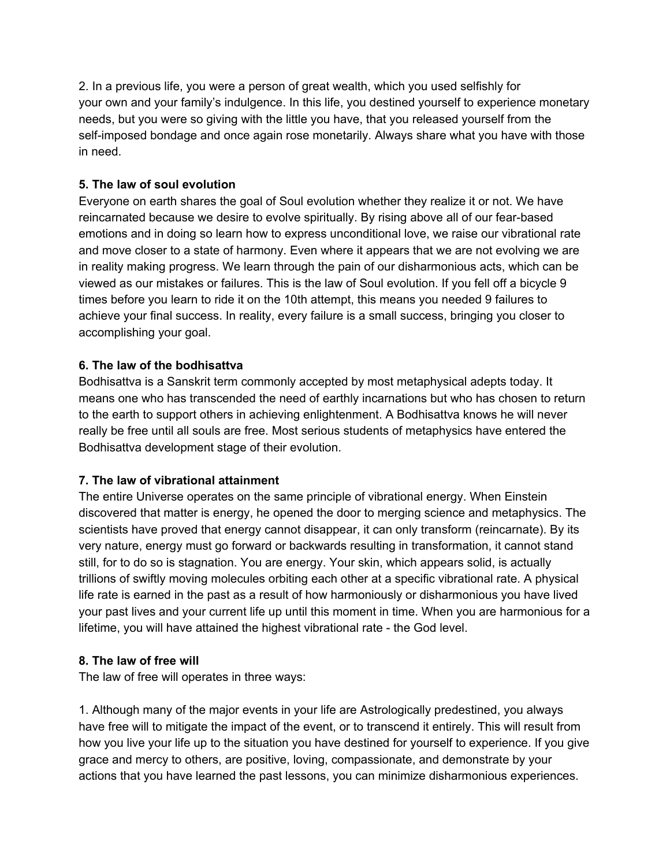2. In a previous life, you were a person of great wealth, which you used selfishly for your own and your family's indulgence. In this life, you destined yourself to experience monetary needs, but you were so giving with the little you have, that you released yourself from the self-imposed bondage and once again rose monetarily. Always share what you have with those in need.

### **5. The law of soul evolution**

Everyone on earth shares the goal of Soul evolution whether they realize it or not. We have reincarnated because we desire to evolve spiritually. By rising above all of our fear-based emotions and in doing so learn how to express unconditional love, we raise our vibrational rate and move closer to a state of harmony. Even where it appears that we are not evolving we are in reality making progress. We learn through the pain of our disharmonious acts, which can be viewed as our mistakes or failures. This is the law of Soul evolution. If you fell off a bicycle 9 times before you learn to ride it on the 10th attempt, this means you needed 9 failures to achieve your final success. In reality, every failure is a small success, bringing you closer to accomplishing your goal.

### **6. The law of the bodhisattva**

Bodhisattva is a Sanskrit term commonly accepted by most metaphysical adepts today. It means one who has transcended the need of earthly incarnations but who has chosen to return to the earth to support others in achieving enlightenment. A Bodhisattva knows he will never really be free until all souls are free. Most serious students of metaphysics have entered the Bodhisattva development stage of their evolution.

### **7. The law of vibrational attainment**

The entire Universe operates on the same principle of vibrational energy. When Einstein discovered that matter is energy, he opened the door to merging science and metaphysics. The scientists have proved that energy cannot disappear, it can only transform (reincarnate). By its very nature, energy must go forward or backwards resulting in transformation, it cannot stand still, for to do so is stagnation. You are energy. Your skin, which appears solid, is actually trillions of swiftly moving molecules orbiting each other at a specific vibrational rate. A physical life rate is earned in the past as a result of how harmoniously or disharmonious you have lived your past lives and your current life up until this moment in time. When you are harmonious for a lifetime, you will have attained the highest vibrational rate - the God level.

### **8. The law of free will**

The law of free will operates in three ways:

1. Although many of the major events in your life are Astrologically predestined, you always have free will to mitigate the impact of the event, or to transcend it entirely. This will result from how you live your life up to the situation you have destined for yourself to experience. If you give grace and mercy to others, are positive, loving, compassionate, and demonstrate by your actions that you have learned the past lessons, you can minimize disharmonious experiences.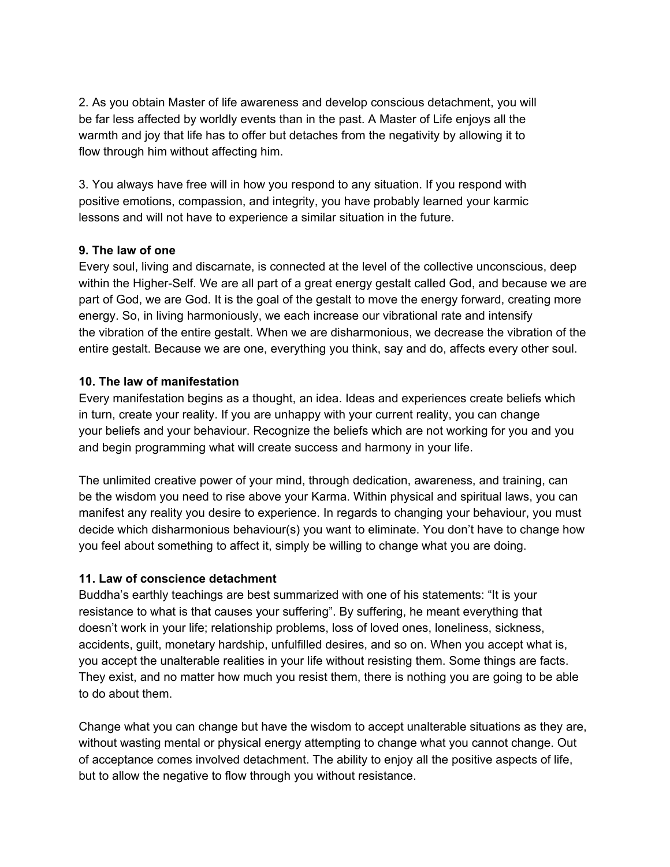2. As you obtain Master of life awareness and develop conscious detachment, you will be far less affected by worldly events than in the past. A Master of Life enjoys all the warmth and joy that life has to offer but detaches from the negativity by allowing it to flow through him without affecting him.

3. You always have free will in how you respond to any situation. If you respond with positive emotions, compassion, and integrity, you have probably learned your karmic lessons and will not have to experience a similar situation in the future.

#### **9. The law of one**

Every soul, living and discarnate, is connected at the level of the collective unconscious, deep within the Higher-Self. We are all part of a great energy gestalt called God, and because we are part of God, we are God. It is the goal of the gestalt to move the energy forward, creating more energy. So, in living harmoniously, we each increase our vibrational rate and intensify the vibration of the entire gestalt. When we are disharmonious, we decrease the vibration of the entire gestalt. Because we are one, everything you think, say and do, affects every other soul.

#### **10. The law of manifestation**

Every manifestation begins as a thought, an idea. Ideas and experiences create beliefs which in turn, create your reality. If you are unhappy with your current reality, you can change your beliefs and your behaviour. Recognize the beliefs which are not working for you and you and begin programming what will create success and harmony in your life.

The unlimited creative power of your mind, through dedication, awareness, and training, can be the wisdom you need to rise above your Karma. Within physical and spiritual laws, you can manifest any reality you desire to experience. In regards to changing your behaviour, you must decide which disharmonious behaviour(s) you want to eliminate. You don't have to change how you feel about something to affect it, simply be willing to change what you are doing.

### **11. Law of conscience detachment**

Buddha's earthly teachings are best summarized with one of his statements: "It is your resistance to what is that causes your suffering". By suffering, he meant everything that doesn't work in your life; relationship problems, loss of loved ones, loneliness, sickness, accidents, guilt, monetary hardship, unfulfilled desires, and so on. When you accept what is, you accept the unalterable realities in your life without resisting them. Some things are facts. They exist, and no matter how much you resist them, there is nothing you are going to be able to do about them.

Change what you can change but have the wisdom to accept unalterable situations as they are, without wasting mental or physical energy attempting to change what you cannot change. Out of acceptance comes involved detachment. The ability to enjoy all the positive aspects of life, but to allow the negative to flow through you without resistance.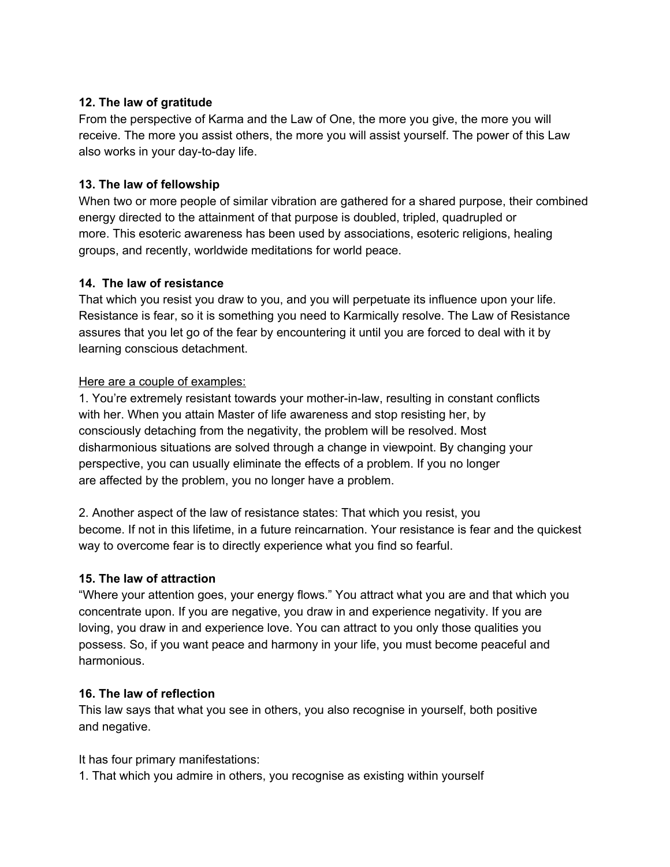### **12. The law of gratitude**

From the perspective of Karma and the Law of One, the more you give, the more you will receive. The more you assist others, the more you will assist yourself. The power of this Law also works in your day-to-day life.

#### **13. The law of fellowship**

When two or more people of similar vibration are gathered for a shared purpose, their combined energy directed to the attainment of that purpose is doubled, tripled, quadrupled or more. This esoteric awareness has been used by associations, esoteric religions, healing groups, and recently, worldwide meditations for world peace.

#### **14. The law of resistance**

That which you resist you draw to you, and you will perpetuate its influence upon your life. Resistance is fear, so it is something you need to Karmically resolve. The Law of Resistance assures that you let go of the fear by encountering it until you are forced to deal with it by learning conscious detachment.

#### Here are a couple of examples:

1. You're extremely resistant towards your mother-in-law, resulting in constant conflicts with her. When you attain Master of life awareness and stop resisting her, by consciously detaching from the negativity, the problem will be resolved. Most disharmonious situations are solved through a change in viewpoint. By changing your perspective, you can usually eliminate the effects of a problem. If you no longer are affected by the problem, you no longer have a problem.

2. Another aspect of the law of resistance states: That which you resist, you become. If not in this lifetime, in a future reincarnation. Your resistance is fear and the quickest way to overcome fear is to directly experience what you find so fearful.

### **15. The law of attraction**

"Where your attention goes, your energy flows." You attract what you are and that which you concentrate upon. If you are negative, you draw in and experience negativity. If you are loving, you draw in and experience love. You can attract to you only those qualities you possess. So, if you want peace and harmony in your life, you must become peaceful and harmonious.

#### **16. The law of reflection**

This law says that what you see in others, you also recognise in yourself, both positive and negative.

#### It has four primary manifestations:

1. That which you admire in others, you recognise as existing within yourself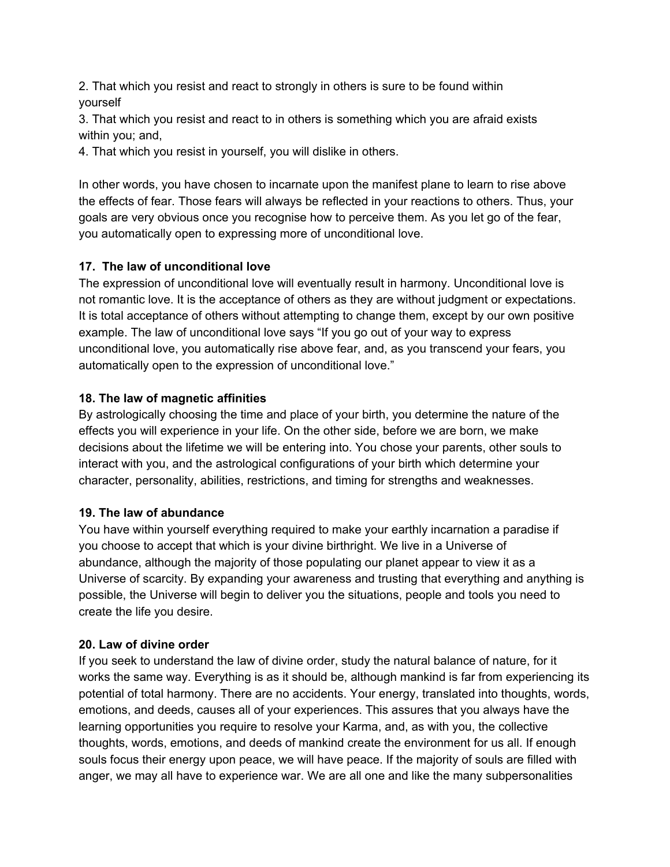2. That which you resist and react to strongly in others is sure to be found within yourself

3. That which you resist and react to in others is something which you are afraid exists within you; and,

4. That which you resist in yourself, you will dislike in others.

In other words, you have chosen to incarnate upon the manifest plane to learn to rise above the effects of fear. Those fears will always be reflected in your reactions to others. Thus, your goals are very obvious once you recognise how to perceive them. As you let go of the fear, you automatically open to expressing more of unconditional love.

## **17. The law of unconditional love**

The expression of unconditional love will eventually result in harmony. Unconditional love is not romantic love. It is the acceptance of others as they are without judgment or expectations. It is total acceptance of others without attempting to change them, except by our own positive example. The law of unconditional love says "If you go out of your way to express unconditional love, you automatically rise above fear, and, as you transcend your fears, you automatically open to the expression of unconditional love."

## **18. The law of magnetic affinities**

By astrologically choosing the time and place of your birth, you determine the nature of the effects you will experience in your life. On the other side, before we are born, we make decisions about the lifetime we will be entering into. You chose your parents, other souls to interact with you, and the astrological configurations of your birth which determine your character, personality, abilities, restrictions, and timing for strengths and weaknesses.

## **19. The law of abundance**

You have within yourself everything required to make your earthly incarnation a paradise if you choose to accept that which is your divine birthright. We live in a Universe of abundance, although the majority of those populating our planet appear to view it as a Universe of scarcity. By expanding your awareness and trusting that everything and anything is possible, the Universe will begin to deliver you the situations, people and tools you need to create the life you desire.

## **20. Law of divine order**

If you seek to understand the law of divine order, study the natural balance of nature, for it works the same way. Everything is as it should be, although mankind is far from experiencing its potential of total harmony. There are no accidents. Your energy, translated into thoughts, words, emotions, and deeds, causes all of your experiences. This assures that you always have the learning opportunities you require to resolve your Karma, and, as with you, the collective thoughts, words, emotions, and deeds of mankind create the environment for us all. If enough souls focus their energy upon peace, we will have peace. If the majority of souls are filled with anger, we may all have to experience war. We are all one and like the many subpersonalities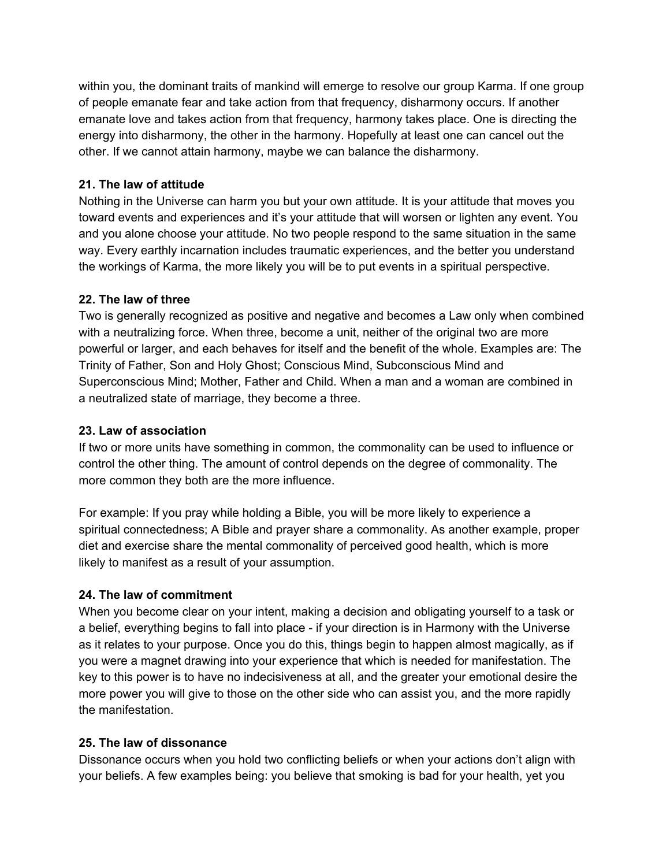within you, the dominant traits of mankind will emerge to resolve our group Karma. If one group of people emanate fear and take action from that frequency, disharmony occurs. If another emanate love and takes action from that frequency, harmony takes place. One is directing the energy into disharmony, the other in the harmony. Hopefully at least one can cancel out the other. If we cannot attain harmony, maybe we can balance the disharmony.

### **21. The law of attitude**

Nothing in the Universe can harm you but your own attitude. It is your attitude that moves you toward events and experiences and it's your attitude that will worsen or lighten any event. You and you alone choose your attitude. No two people respond to the same situation in the same way. Every earthly incarnation includes traumatic experiences, and the better you understand the workings of Karma, the more likely you will be to put events in a spiritual perspective.

### **22. The law of three**

Two is generally recognized as positive and negative and becomes a Law only when combined with a neutralizing force. When three, become a unit, neither of the original two are more powerful or larger, and each behaves for itself and the benefit of the whole. Examples are: The Trinity of Father, Son and Holy Ghost; Conscious Mind, Subconscious Mind and Superconscious Mind; Mother, Father and Child. When a man and a woman are combined in a neutralized state of marriage, they become a three.

### **23. Law of association**

If two or more units have something in common, the commonality can be used to influence or control the other thing. The amount of control depends on the degree of commonality. The more common they both are the more influence.

For example: If you pray while holding a Bible, you will be more likely to experience a spiritual connectedness; A Bible and prayer share a commonality. As another example, proper diet and exercise share the mental commonality of perceived good health, which is more likely to manifest as a result of your assumption.

## **24. The law of commitment**

When you become clear on your intent, making a decision and obligating yourself to a task or a belief, everything begins to fall into place - if your direction is in Harmony with the Universe as it relates to your purpose. Once you do this, things begin to happen almost magically, as if you were a magnet drawing into your experience that which is needed for manifestation. The key to this power is to have no indecisiveness at all, and the greater your emotional desire the more power you will give to those on the other side who can assist you, and the more rapidly the manifestation.

### **25. The law of dissonance**

Dissonance occurs when you hold two conflicting beliefs or when your actions don't align with your beliefs. A few examples being: you believe that smoking is bad for your health, yet you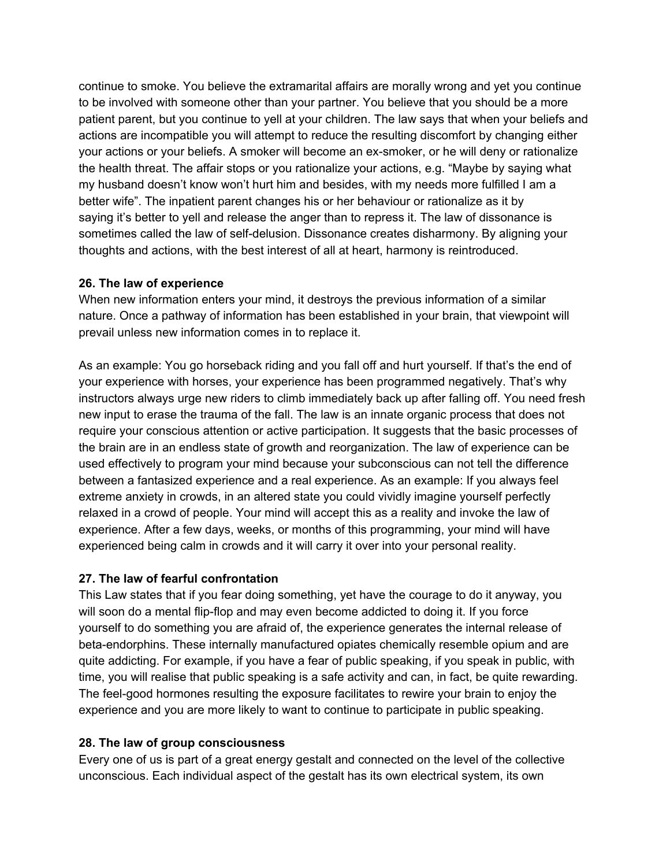continue to smoke. You believe the extramarital affairs are morally wrong and yet you continue to be involved with someone other than your partner. You believe that you should be a more patient parent, but you continue to yell at your children. The law says that when your beliefs and actions are incompatible you will attempt to reduce the resulting discomfort by changing either your actions or your beliefs. A smoker will become an ex-smoker, or he will deny or rationalize the health threat. The affair stops or you rationalize your actions, e.g. "Maybe by saying what my husband doesn't know won't hurt him and besides, with my needs more fulfilled I am a better wife". The inpatient parent changes his or her behaviour or rationalize as it by saying it's better to yell and release the anger than to repress it. The law of dissonance is sometimes called the law of self-delusion. Dissonance creates disharmony. By aligning your thoughts and actions, with the best interest of all at heart, harmony is reintroduced.

#### **26. The law of experience**

When new information enters your mind, it destroys the previous information of a similar nature. Once a pathway of information has been established in your brain, that viewpoint will prevail unless new information comes in to replace it.

As an example: You go horseback riding and you fall off and hurt yourself. If that's the end of your experience with horses, your experience has been programmed negatively. That's why instructors always urge new riders to climb immediately back up after falling off. You need fresh new input to erase the trauma of the fall. The law is an innate organic process that does not require your conscious attention or active participation. It suggests that the basic processes of the brain are in an endless state of growth and reorganization. The law of experience can be used effectively to program your mind because your subconscious can not tell the difference between a fantasized experience and a real experience. As an example: If you always feel extreme anxiety in crowds, in an altered state you could vividly imagine yourself perfectly relaxed in a crowd of people. Your mind will accept this as a reality and invoke the law of experience. After a few days, weeks, or months of this programming, your mind will have experienced being calm in crowds and it will carry it over into your personal reality.

### **27. The law of fearful confrontation**

This Law states that if you fear doing something, yet have the courage to do it anyway, you will soon do a mental flip-flop and may even become addicted to doing it. If you force yourself to do something you are afraid of, the experience generates the internal release of beta-endorphins. These internally manufactured opiates chemically resemble opium and are quite addicting. For example, if you have a fear of public speaking, if you speak in public, with time, you will realise that public speaking is a safe activity and can, in fact, be quite rewarding. The feel-good hormones resulting the exposure facilitates to rewire your brain to enjoy the experience and you are more likely to want to continue to participate in public speaking.

### **28. The law of group consciousness**

Every one of us is part of a great energy gestalt and connected on the level of the collective unconscious. Each individual aspect of the gestalt has its own electrical system, its own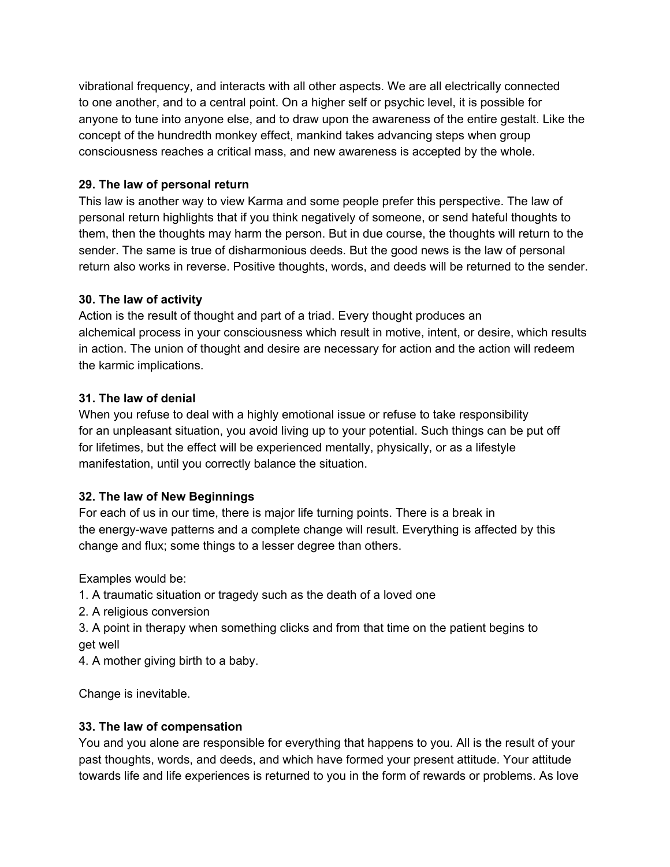vibrational frequency, and interacts with all other aspects. We are all electrically connected to one another, and to a central point. On a higher self or psychic level, it is possible for anyone to tune into anyone else, and to draw upon the awareness of the entire gestalt. Like the concept of the hundredth monkey effect, mankind takes advancing steps when group consciousness reaches a critical mass, and new awareness is accepted by the whole.

### **29. The law of personal return**

This law is another way to view Karma and some people prefer this perspective. The law of personal return highlights that if you think negatively of someone, or send hateful thoughts to them, then the thoughts may harm the person. But in due course, the thoughts will return to the sender. The same is true of disharmonious deeds. But the good news is the law of personal return also works in reverse. Positive thoughts, words, and deeds will be returned to the sender.

### **30. The law of activity**

Action is the result of thought and part of a triad. Every thought produces an alchemical process in your consciousness which result in motive, intent, or desire, which results in action. The union of thought and desire are necessary for action and the action will redeem the karmic implications.

### **31. The law of denial**

When you refuse to deal with a highly emotional issue or refuse to take responsibility for an unpleasant situation, you avoid living up to your potential. Such things can be put off for lifetimes, but the effect will be experienced mentally, physically, or as a lifestyle manifestation, until you correctly balance the situation.

## **32. The law of New Beginnings**

For each of us in our time, there is major life turning points. There is a break in the energy-wave patterns and a complete change will result. Everything is affected by this change and flux; some things to a lesser degree than others.

Examples would be:

- 1. A traumatic situation or tragedy such as the death of a loved one
- 2. A religious conversion
- 3. A point in therapy when something clicks and from that time on the patient begins to get well
- 4. A mother giving birth to a baby.

Change is inevitable.

## **33. The law of compensation**

You and you alone are responsible for everything that happens to you. All is the result of your past thoughts, words, and deeds, and which have formed your present attitude. Your attitude towards life and life experiences is returned to you in the form of rewards or problems. As love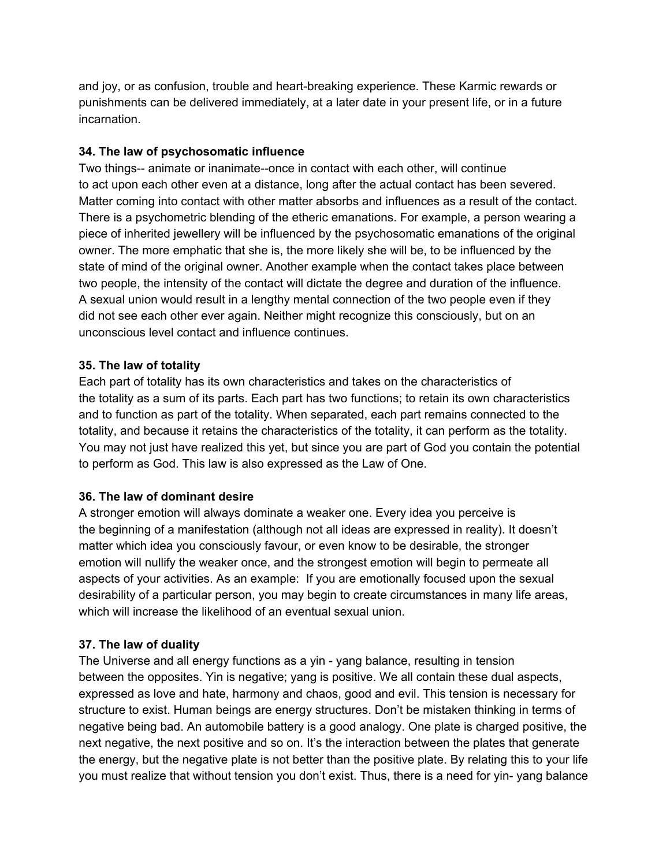and joy, or as confusion, trouble and heart-breaking experience. These Karmic rewards or punishments can be delivered immediately, at a later date in your present life, or in a future incarnation.

#### **34. The law of psychosomatic influence**

Two things-- animate or inanimate--once in contact with each other, will continue to act upon each other even at a distance, long after the actual contact has been severed. Matter coming into contact with other matter absorbs and influences as a result of the contact. There is a psychometric blending of the etheric emanations. For example, a person wearing a piece of inherited jewellery will be influenced by the psychosomatic emanations of the original owner. The more emphatic that she is, the more likely she will be, to be influenced by the state of mind of the original owner. Another example when the contact takes place between two people, the intensity of the contact will dictate the degree and duration of the influence. A sexual union would result in a lengthy mental connection of the two people even if they did not see each other ever again. Neither might recognize this consciously, but on an unconscious level contact and influence continues.

#### **35. The law of totality**

Each part of totality has its own characteristics and takes on the characteristics of the totality as a sum of its parts. Each part has two functions; to retain its own characteristics and to function as part of the totality. When separated, each part remains connected to the totality, and because it retains the characteristics of the totality, it can perform as the totality. You may not just have realized this yet, but since you are part of God you contain the potential to perform as God. This law is also expressed as the Law of One.

#### **36. The law of dominant desire**

A stronger emotion will always dominate a weaker one. Every idea you perceive is the beginning of a manifestation (although not all ideas are expressed in reality). It doesn't matter which idea you consciously favour, or even know to be desirable, the stronger emotion will nullify the weaker once, and the strongest emotion will begin to permeate all aspects of your activities. As an example: If you are emotionally focused upon the sexual desirability of a particular person, you may begin to create circumstances in many life areas, which will increase the likelihood of an eventual sexual union.

### **37. The law of duality**

The Universe and all energy functions as a yin - yang balance, resulting in tension between the opposites. Yin is negative; yang is positive. We all contain these dual aspects, expressed as love and hate, harmony and chaos, good and evil. This tension is necessary for structure to exist. Human beings are energy structures. Don't be mistaken thinking in terms of negative being bad. An automobile battery is a good analogy. One plate is charged positive, the next negative, the next positive and so on. It's the interaction between the plates that generate the energy, but the negative plate is not better than the positive plate. By relating this to your life you must realize that without tension you don't exist. Thus, there is a need for yin- yang balance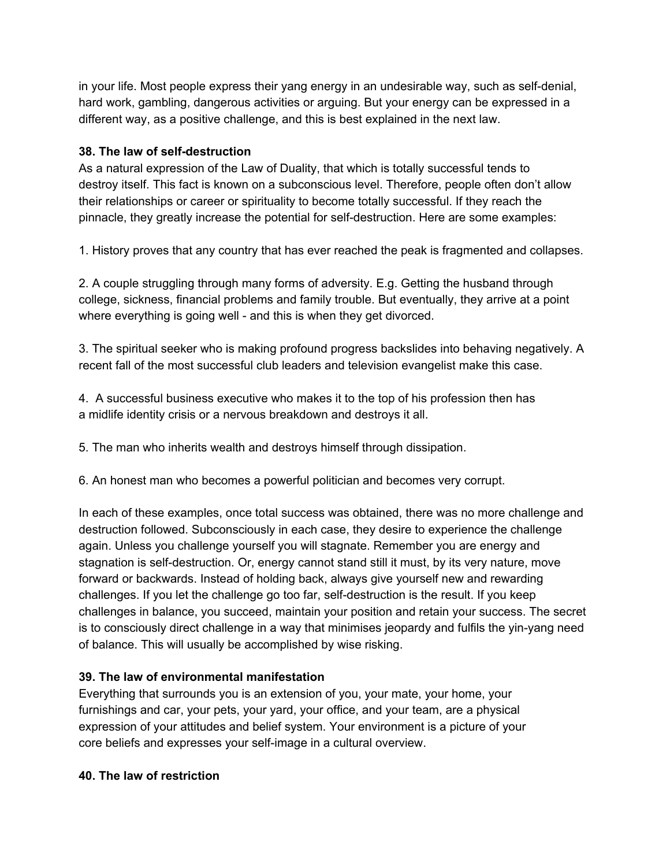in your life. Most people express their yang energy in an undesirable way, such as self-denial, hard work, gambling, dangerous activities or arguing. But your energy can be expressed in a different way, as a positive challenge, and this is best explained in the next law.

### **38. The law of self-destruction**

As a natural expression of the Law of Duality, that which is totally successful tends to destroy itself. This fact is known on a subconscious level. Therefore, people often don't allow their relationships or career or spirituality to become totally successful. If they reach the pinnacle, they greatly increase the potential for self-destruction. Here are some examples:

1. History proves that any country that has ever reached the peak is fragmented and collapses.

2. A couple struggling through many forms of adversity. E.g. Getting the husband through college, sickness, financial problems and family trouble. But eventually, they arrive at a point where everything is going well - and this is when they get divorced.

3. The spiritual seeker who is making profound progress backslides into behaving negatively. A recent fall of the most successful club leaders and television evangelist make this case.

4. A successful business executive who makes it to the top of his profession then has a midlife identity crisis or a nervous breakdown and destroys it all.

5. The man who inherits wealth and destroys himself through dissipation.

6. An honest man who becomes a powerful politician and becomes very corrupt.

In each of these examples, once total success was obtained, there was no more challenge and destruction followed. Subconsciously in each case, they desire to experience the challenge again. Unless you challenge yourself you will stagnate. Remember you are energy and stagnation is self-destruction. Or, energy cannot stand still it must, by its very nature, move forward or backwards. Instead of holding back, always give yourself new and rewarding challenges. If you let the challenge go too far, self-destruction is the result. If you keep challenges in balance, you succeed, maintain your position and retain your success. The secret is to consciously direct challenge in a way that minimises jeopardy and fulfils the yin-yang need of balance. This will usually be accomplished by wise risking.

### **39. The law of environmental manifestation**

Everything that surrounds you is an extension of you, your mate, your home, your furnishings and car, your pets, your yard, your office, and your team, are a physical expression of your attitudes and belief system. Your environment is a picture of your core beliefs and expresses your self-image in a cultural overview.

### **40. The law of restriction**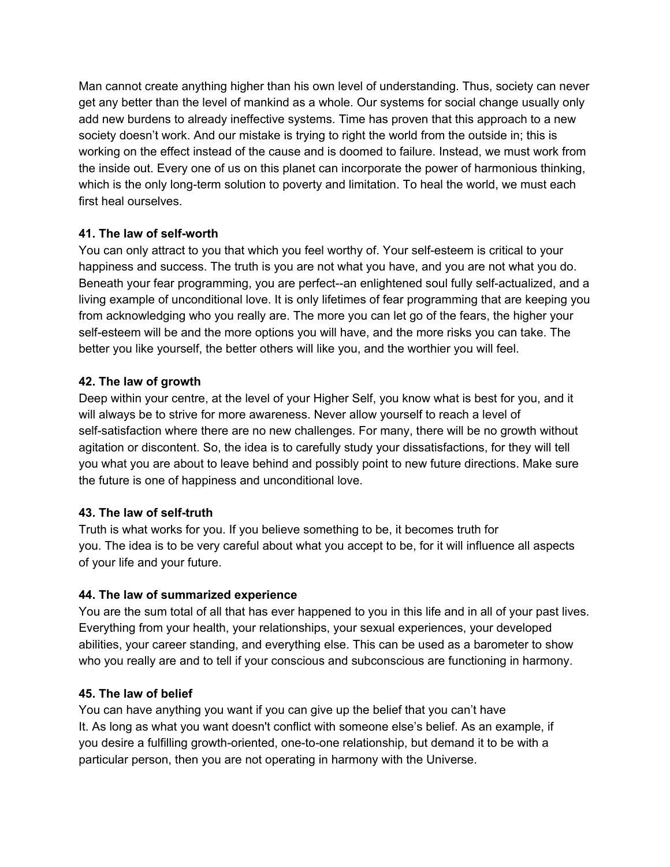Man cannot create anything higher than his own level of understanding. Thus, society can never get any better than the level of mankind as a whole. Our systems for social change usually only add new burdens to already ineffective systems. Time has proven that this approach to a new society doesn't work. And our mistake is trying to right the world from the outside in; this is working on the effect instead of the cause and is doomed to failure. Instead, we must work from the inside out. Every one of us on this planet can incorporate the power of harmonious thinking, which is the only long-term solution to poverty and limitation. To heal the world, we must each first heal ourselves.

### **41. The law of self-worth**

You can only attract to you that which you feel worthy of. Your self-esteem is critical to your happiness and success. The truth is you are not what you have, and you are not what you do. Beneath your fear programming, you are perfect--an enlightened soul fully self-actualized, and a living example of unconditional love. It is only lifetimes of fear programming that are keeping you from acknowledging who you really are. The more you can let go of the fears, the higher your self-esteem will be and the more options you will have, and the more risks you can take. The better you like yourself, the better others will like you, and the worthier you will feel.

### **42. The law of growth**

Deep within your centre, at the level of your Higher Self, you know what is best for you, and it will always be to strive for more awareness. Never allow yourself to reach a level of self-satisfaction where there are no new challenges. For many, there will be no growth without agitation or discontent. So, the idea is to carefully study your dissatisfactions, for they will tell you what you are about to leave behind and possibly point to new future directions. Make sure the future is one of happiness and unconditional love.

## **43. The law of self-truth**

Truth is what works for you. If you believe something to be, it becomes truth for you. The idea is to be very careful about what you accept to be, for it will influence all aspects of your life and your future.

## **44. The law of summarized experience**

You are the sum total of all that has ever happened to you in this life and in all of your past lives. Everything from your health, your relationships, your sexual experiences, your developed abilities, your career standing, and everything else. This can be used as a barometer to show who you really are and to tell if your conscious and subconscious are functioning in harmony.

### **45. The law of belief**

You can have anything you want if you can give up the belief that you can't have It. As long as what you want doesn't conflict with someone else's belief. As an example, if you desire a fulfilling growth-oriented, one-to-one relationship, but demand it to be with a particular person, then you are not operating in harmony with the Universe.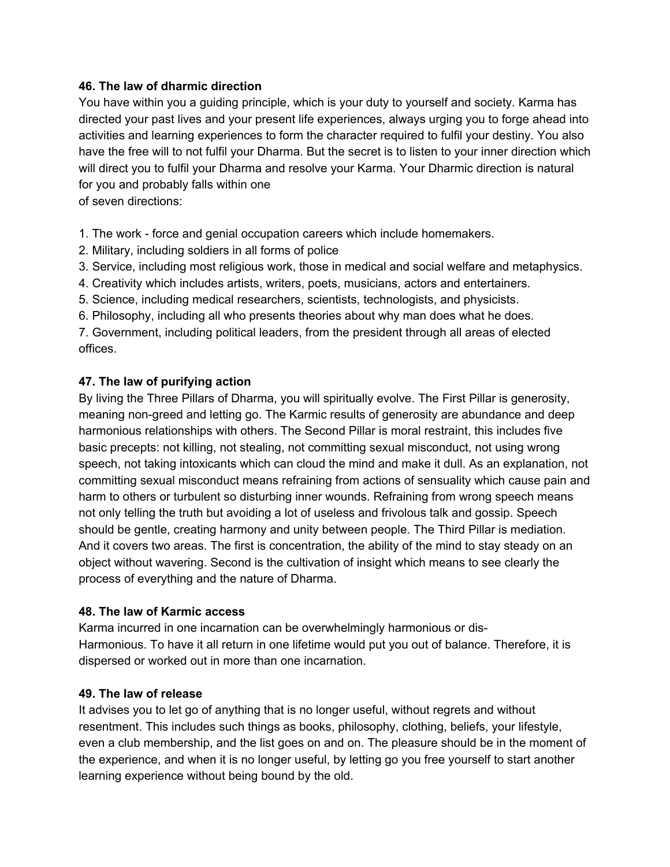#### **46. The law of dharmic direction**

You have within you a guiding principle, which is your duty to yourself and society. Karma has directed your past lives and your present life experiences, always urging you to forge ahead into activities and learning experiences to form the character required to fulfil your destiny. You also have the free will to not fulfil your Dharma. But the secret is to listen to your inner direction which will direct you to fulfil your Dharma and resolve your Karma. Your Dharmic direction is natural for you and probably falls within one

of seven directions:

1. The work - force and genial occupation careers which include homemakers.

- 2. Military, including soldiers in all forms of police
- 3. Service, including most religious work, those in medical and social welfare and metaphysics.
- 4. Creativity which includes artists, writers, poets, musicians, actors and entertainers.
- 5. Science, including medical researchers, scientists, technologists, and physicists.

6. Philosophy, including all who presents theories about why man does what he does.

7. Government, including political leaders, from the president through all areas of elected offices.

### **47. The law of purifying action**

By living the Three Pillars of Dharma, you will spiritually evolve. The First Pillar is generosity, meaning non-greed and letting go. The Karmic results of generosity are abundance and deep harmonious relationships with others. The Second Pillar is moral restraint, this includes five basic precepts: not killing, not stealing, not committing sexual misconduct, not using wrong speech, not taking intoxicants which can cloud the mind and make it dull. As an explanation, not committing sexual misconduct means refraining from actions of sensuality which cause pain and harm to others or turbulent so disturbing inner wounds. Refraining from wrong speech means not only telling the truth but avoiding a lot of useless and frivolous talk and gossip. Speech should be gentle, creating harmony and unity between people. The Third Pillar is mediation. And it covers two areas. The first is concentration, the ability of the mind to stay steady on an object without wavering. Second is the cultivation of insight which means to see clearly the process of everything and the nature of Dharma.

### **48. The law of Karmic access**

Karma incurred in one incarnation can be overwhelmingly harmonious or dis-Harmonious. To have it all return in one lifetime would put you out of balance. Therefore, it is dispersed or worked out in more than one incarnation.

### **49. The law of release**

It advises you to let go of anything that is no longer useful, without regrets and without resentment. This includes such things as books, philosophy, clothing, beliefs, your lifestyle, even a club membership, and the list goes on and on. The pleasure should be in the moment of the experience, and when it is no longer useful, by letting go you free yourself to start another learning experience without being bound by the old.